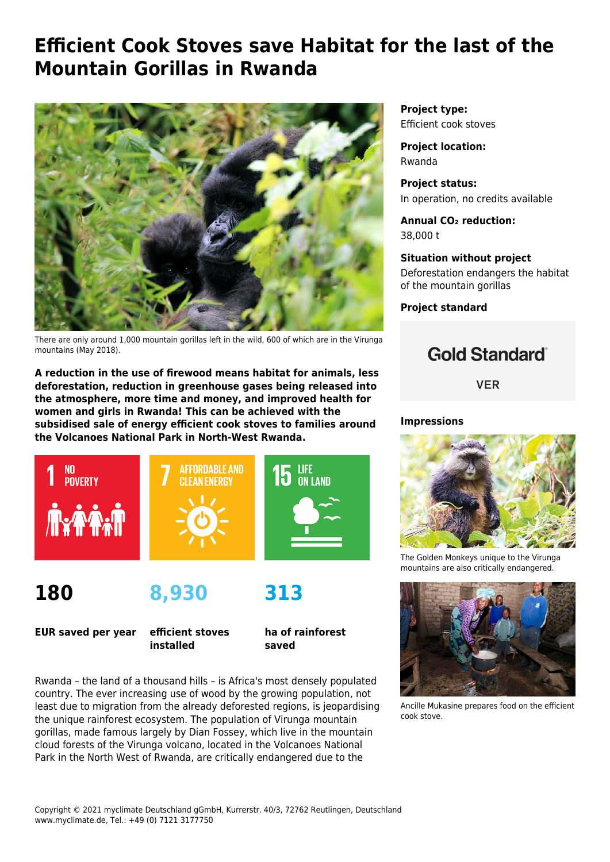# **Efficient Cook Stoves save Habitat for the last of the Mountain Gorillas in Rwanda**



There are only around 1,000 mountain gorillas left in the wild, 600 of which are in the Virunga mountains (May 2018).

**A reduction in the use of firewood means habitat for animals, less deforestation, reduction in greenhouse gases being released into the atmosphere, more time and money, and improved health for women and girls in Rwanda! This can be achieved with the subsidised sale of energy efficient cook stoves to families around the Volcanoes National Park in North-West Rwanda.**



**180**

**8,930**

**EUR saved per year**

**efficient stoves installed**

**ha of rainforest saved**

**313**

Rwanda – the land of a thousand hills – is Africa's most densely populated country. The ever increasing use of wood by the growing population, not least due to migration from the already deforested regions, is jeopardising the unique rainforest ecosystem. The population of Virunga mountain gorillas, made famous largely by Dian Fossey, which live in the mountain cloud forests of the Virunga volcano, located in the Volcanoes National Park in the North West of Rwanda, are critically endangered due to the

**Project type:** Efficient cook stoves

**Project location:** Rwanda

**Project status:** In operation, no credits available

**Annual CO₂ reduction:** 38,000 t

**Situation without project** Deforestation endangers the habitat of the mountain gorillas

**Project standard**

## **Gold Standard**®

**VER** 

#### **Impressions**



The Golden Monkeys unique to the Virunga mountains are also critically endangered.



Ancille Mukasine prepares food on the efficient cook stove.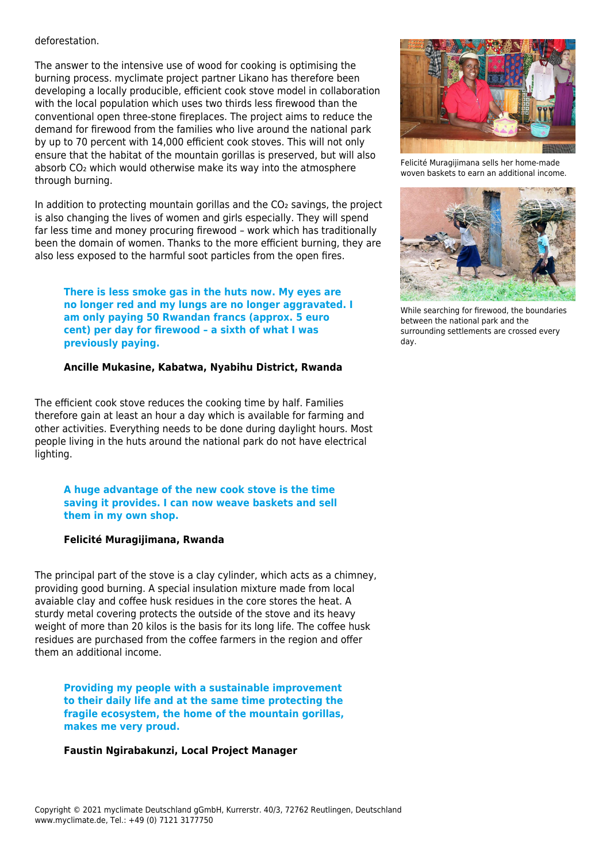#### deforestation.

The answer to the intensive use of wood for cooking is optimising the burning process. myclimate project partner Likano has therefore been developing a locally producible, efficient cook stove model in collaboration with the local population which uses two thirds less firewood than the conventional open three-stone fireplaces. The project aims to reduce the demand for firewood from the families who live around the national park by up to 70 percent with 14,000 efficient cook stoves. This will not only ensure that the habitat of the mountain gorillas is preserved, but will also absorb CO<sub>2</sub> which would otherwise make its way into the atmosphere through burning.

In addition to protecting mountain gorillas and the CO<sub>2</sub> savings, the project is also changing the lives of women and girls especially. They will spend far less time and money procuring firewood – work which has traditionally been the domain of women. Thanks to the more efficient burning, they are also less exposed to the harmful soot particles from the open fires.

**There is less smoke gas in the huts now. My eyes are no longer red and my lungs are no longer aggravated. I am only paying 50 Rwandan francs (approx. 5 euro cent) per day for firewood – a sixth of what I was previously paying.** 

#### **Ancille Mukasine, Kabatwa, Nyabihu District, Rwanda**

The efficient cook stove reduces the cooking time by half. Families therefore gain at least an hour a day which is available for farming and other activities. Everything needs to be done during daylight hours. Most people living in the huts around the national park do not have electrical lighting.

**A huge advantage of the new cook stove is the time saving it provides. I can now weave baskets and sell them in my own shop.** 

#### **Felicité Muragijimana, Rwanda**

The principal part of the stove is a clay cylinder, which acts as a chimney, providing good burning. A special insulation mixture made from local avaiable clay and coffee husk residues in the core stores the heat. A sturdy metal covering protects the outside of the stove and its heavy weight of more than 20 kilos is the basis for its long life. The coffee husk residues are purchased from the coffee farmers in the region and offer them an additional income.

**Providing my people with a sustainable improvement to their daily life and at the same time protecting the fragile ecosystem, the home of the mountain gorillas, makes me very proud.** 

#### **Faustin Ngirabakunzi, Local Project Manager**



Felicité Muragijimana sells her home-made woven baskets to earn an additional income.



While searching for firewood, the boundaries between the national park and the surrounding settlements are crossed every day.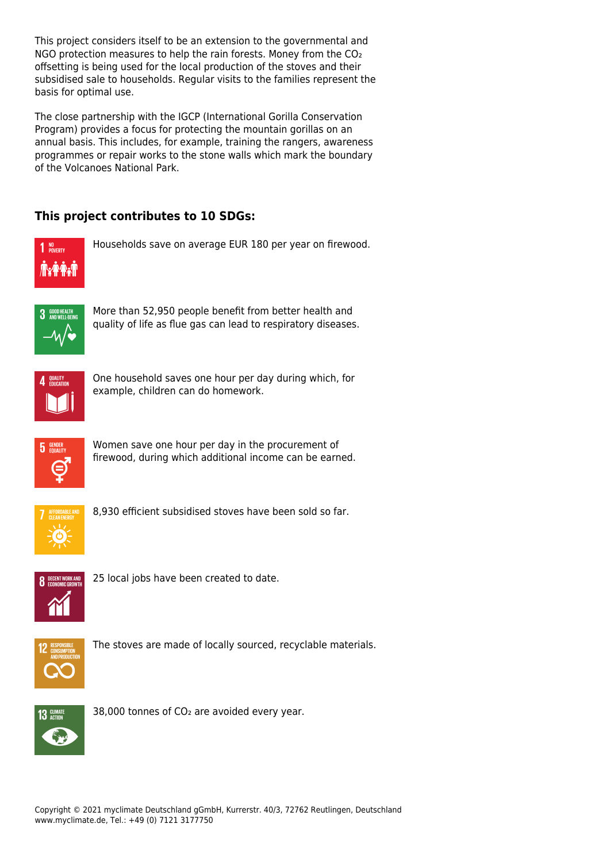This project considers itself to be an extension to the governmental and NGO protection measures to help the rain forests. Money from the CO<sub>2</sub> offsetting is being used for the local production of the stoves and their subsidised sale to households. Regular visits to the families represent the basis for optimal use.

The close partnership with the IGCP (International Gorilla Conservation Program) provides a focus for protecting the mountain gorillas on an annual basis. This includes, for example, training the rangers, awareness programmes or repair works to the stone walls which mark the boundary of the Volcanoes National Park.

### **This project contributes to 10 SDGs:**



Households save on average EUR 180 per year on firewood.



More than 52,950 people benefit from better health and quality of life as flue gas can lead to respiratory diseases.



One household saves one hour per day during which, for example, children can do homework.



Women save one hour per day in the procurement of firewood, during which additional income can be earned.



8,930 efficient subsidised stoves have been sold so far.



25 local jobs have been created to date.



The stoves are made of locally sourced, recyclable materials.



38,000 tonnes of CO<sub>2</sub> are avoided every year.